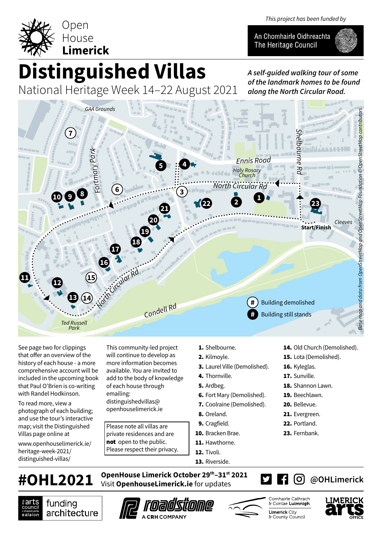



An Chomhairle Oidhreachta The Heritage Council



## **Distinguished Villas**

National Heritage Week 14–22 August 2021

*A self-guided walking tour of some of the landmark homes to be found along the North Circular Road.*



See page two for clippings that offer an overview of the history of each house - a more comprehensive account will be included in the upcoming book that Paul O'Brien is co-writing with Randel Hodkinson.

To read more, view a photograph of each building; and use the tour's interactive map; visit the Distinguished Villas page online at

www.openhouselimerick.ie/ heritage-week-2021/ distinguished-villas/

This community-led project will continue to develop as more information becomes available. You are invited to add to the body of knowledge of each house through emailing: distinguishedvillas@ openhouselimerick.ie

Please note all villas are private residences and are not open to the public. Please respect their privacy.

- 1. Shelbourne.
- 2. Kilmoyle.
- 3. Laurel Ville (Demolished).
- 4. Thornville.
- 5. Ardbeg.
- 6. Fort Mary (Demolished).
- 7. Coolraine (Demolished).
- 8. Oreland.
- 9. Cragfield.
- 10. Bracken Brae.
- 11. Hawthorne.
- 12. Tivoli.
- 13. Riverside.
- 14. Old Church (Demolished).
- 15. Lota (Demolished).
- 16. Kyleglas. 17. Sunville.
- 18. Shannon Lawn.
- 
- 19. Beechlawn.
- 20. Bellevue.
- 21. Evergreen.
- 22. Portland.
- 23. Fernbank.

**OpenHouse Limerick October 29th–31st 2021 #OHL2021** Visit **OpenhouseLimerick.ie** for updates







Comhairle Cathrach & Contae Luimnigh **Limerick City** & County Council

**7 ©** 



**@OHLimerick**